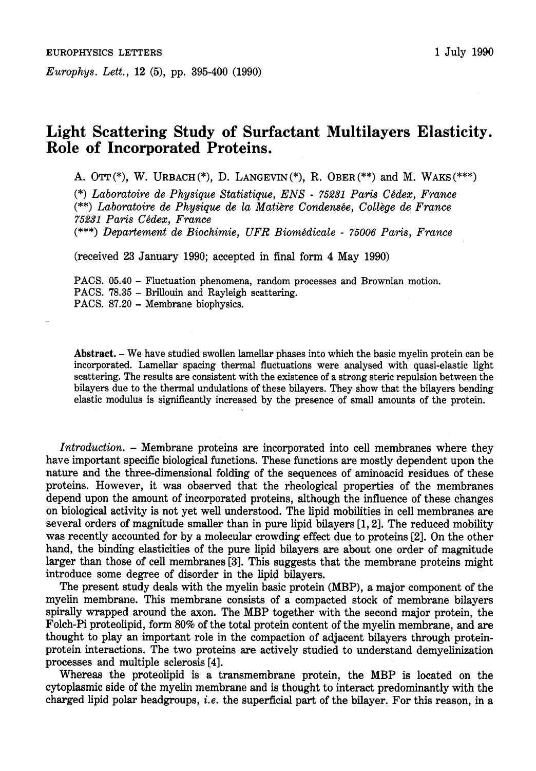*Europhys. Lett.,* **12** *(5),* pp. **395-400 (1990)** 

## **Light Scattering Study of Surfactant Multilayers Elasticity. Role of Incorporated Proteins.**

**A. OTT(\*),** W. **URBACH(\*), D. LANGEVIN(\*), R. OBER(\*\*)** and M. **WAKS(\*\*\*)** 

(\*) Laboratoire de Physique Statistique, ENS - 75231 Paris Cédex, France (\*\*) Laboratoire de Physique de la Matière Condensée, Collège de France *75231 Paris Chdex, France* 

(\*\*\*) *Departement de Biochimie, UFR Biomhdicale* - *75006 Paris, France* 

(received **23** January **1990;** accepted in final form **4** May **1990)** 

**PACS. 05.40** - Fluctuation phenomena, random processes and Brownian motion. **PACS. 78.35** - Brillouin and Rayleigh scattering. PACS. 87.20 - Membrane biophysics.

**Abstract.** - We have studied swollen lamellar phases into which the basic myelin protein can be incorporated. Lamellar spacing thermal fluctuations were analysed with quasi-elastic light scattering. The results are consistent with the existence of a strong steric repulsion between the bilayers due to the thermal undulations of these bilayers. They show that the bilayers bending elastic modulus is significantly increased by the presence of small amounts of the protein.

*Introduction.* - Membrane proteins are incorporated into cell membranes where they have important specific biological functions. These functions are mostly dependent upon the nature and the three-dimensional folding of the sequences of aminoacid residues of these proteins. However, it was observed that the rheological properties of the membranes depend upon the amount of incorporated proteins, although the influence of these changes on biological activity is not yet well understood. The lipid mobilities in cell membranes are several orders of magnitude smaller than in pure lipid bilayers **[l, 21.** The reduced mobility was recently accounted for by a molecular crowding effect due to proteins **121.** On the other hand, the binding elasticities of the pure lipid bilayers are about one order of magnitude larger than those of cell membranes **[3].** This suggests that the membrane proteins might introduce some degree of disorder in the lipid bilayers.

The present study deals with the myelin basic protein (MBP), a major component of the myelin membrane. This membrane consists of a compacted stock of membrane bilayers spirally wrapped around the axon. The MBP together with the second major protein, the Folch-Pi proteolipid, form **80%** of the total protein content of the myelin membrane, and are thought to play an important role in the compaction of adjacent bilayers through proteinprotein interactions. The two proteins are actively studied to understand demyelinization processes and multiple sclerosis **[4].** 

Whereas the proteolipid is a transmembrane protein, the MBP is located on the cytoplasmic side of the myelin membrane and is thought to interact predominantly with the charged lipid polar headgroups, *i.e.* the superficial part of the bilayer. For this reason, in a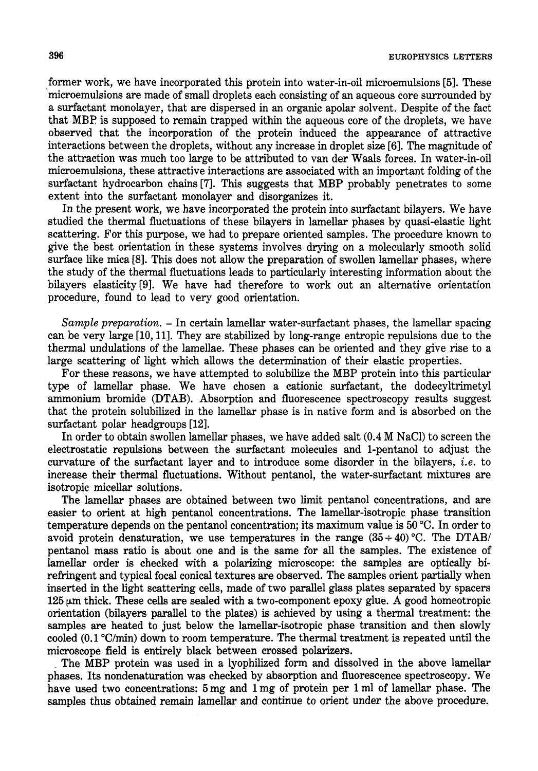**396 EUROPHYSICS LETTERS** 

former work, we have incorporated this protein into water-in-oil microemulsions *[5].* These 'microemulsions are made of small droplets each consisting of an aqueous core surrounded by a surfactant monolayer, that are dispersed in an organic apolar solvent. Despite of the fact that MBP is supposed to remain trapped within the aqueous core of the droplets, we have observed that the incorporation **of** the protein induced the appearance of attractive interactions between the droplets, without any increase in droplet size **[6].** The magnitude of the attraction was much too large to be attributed to van der Waals forces. In water-in-oil microemulsions, these attractive interactions are associated with an important folding of the surfactant hydrocarbon chains **[7].** This suggests that MBP probably penetrates to some extent into the surfactant monolayer and disorganizes it.

In the present work, we have incorporated the protein into surfactant bilayers. We have studied the thermal fluctuations of these bilayers in lamellar phases by quasi-elastic light scattering. For this purpose, we had to prepare oriented samples. The procedure known to give the best orientation in these systems involves drying on a molecularly smooth solid surface like mica [8]. This does not allow the preparation of swollen lamellar phases, where the study of the thermal fluctuations leads to particularly interesting information about the bilayers elasticity **[SI.** We have had therefore to work out an alternative orientation procedure, found to lead to very good orientation.

*Sample preparation.* - In certain lamellar water-surfactant phases, the lamellar spacing can be very large [lo, 111. They are stabilized by long-range entropic repulsions due to the thermal undulations of the lamellae. These phases can be oriented and they give rise to a large scattering of light which allows the determination of their elastic properties.

For these reasons, we have attempted to solubilize the MBP protein into this particular type of lamellar phase. We have chosen a cationic surfactant, the dodecyltrimetyl ammonium bromide (DTAB). Absorption and fluorescence spectroscopy results suggest that the protein solubilized in the lamellar phase is in native form and is absorbed on the surfactant polar headgroups [12].

In order to obtain swollen lamellar phases, we have added salt (0.4 M NaC1) to screen the electrostatic repulsions between the surfactant molecules and l-pentanol to adjust the curvature of the surfactant layer and to introduce some disorder in the bilayers, *i.e.* to increase their thermal fluctuations. Without pentanol, the water-surfactant mixtures are isotropic micellar solutions.

The lamellar phases are obtained between two limit pentanol concentrations, and are easier to orient at high pentanol concentrations. The lamellar-isotropic phase transition temperature depends on the pentanol concentration; its maximum value is 50 "C. In order to avoid protein denaturation, we use temperatures in the range  $(35 \div 40)$  °C. The DTAB/ pentanol mass ratio is about one and is the same for all the samples. The existence of lamellar order is checked with a polarizing microscope: the samples are optically birefringent and typical focal conical textures are observed. The samples orient partially when inserted in the light scattering cells, made of two parallel glass plates separated by spacers  $125 \mu m$  thick. These cells are sealed with a two-component epoxy glue. A good homeotropic orientation (bilayers parallel to the plates) is achieved by using a thermal treatment: the samples are heated to just below the lamellar-isotropic phase transition and then slowly cooled  $(0.1 \text{ °C/min})$  down to room temperature. The thermal treatment is repeated until the microscope field is entirely black between crossed polarizers.

The MBP protein was used in a lyophilized form and dissolved in the above lamellar phases. Its nondenaturation was checked by absorption and fluorescence spectroscopy. We have used two concentrations: *5* mg and 1 mg of protein per 1 ml of lamellar phase. The samples thus obtained remain lamellar and continue to orient under the above procedure.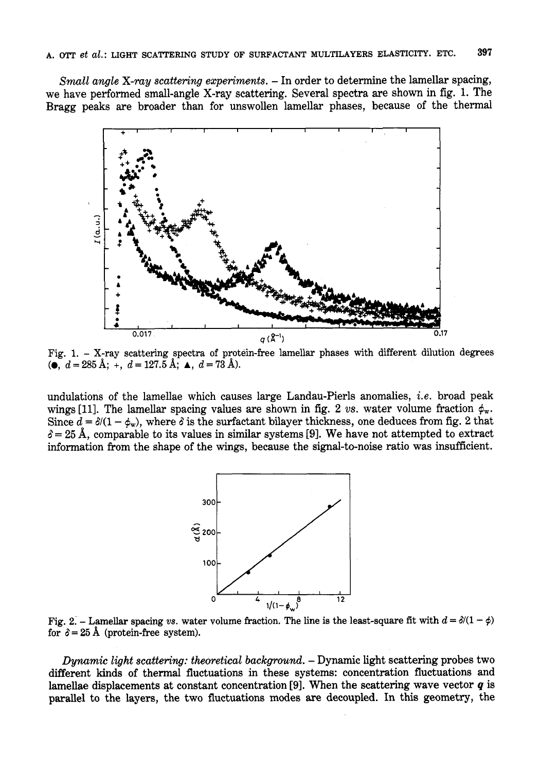*Small angle X-ray scattering experiments.* - In order to determine the lamellar spacing, we have performed small-angle X-ray scattering. Several spectra are shown in fig. 1. The Bragg peaks are broader than for unswollen lamellar phases, because of the thermal



 $(d = 285 \text{ Å}; + d = 127.5 \text{ Å}; \triangleq d = 73 \text{ Å}.$ 

undulations of the lamellae which causes large Landau-Pierls anomalies, *i.e.* broad peak wings [11]. The lamellar spacing values are shown in fig. 2 *vs.* water volume fraction  $\phi_w$ . Since  $d = \delta/(1-\phi_w)$ , where  $\delta$  is the surfactant bilayer thickness, one deduces from fig. 2 that  $\delta = 25$  Å, comparable to its values in similar systems [9]. We have not attempted to extract information from the shape of the wings, because the signal-to-noise ratio was insufficient.



Fig. 2. - Lamellar spacing *vs.* water volume fraction. The line is the least-square fit with  $d = \delta/(1 - \phi)$ for  $\delta = 25$  Å (protein-free system).

*Dynamic light scattering: theoretical background.* - **Dynamic** light scattering probes two different kinds of thermal fluctuations in these systems: concentration fluctuations and lamellae displacements at constant concentration **[9].** When the scattering wave vector *q* is parallel to the layers, the two fluctuations modes are decoupled. In this geometry, the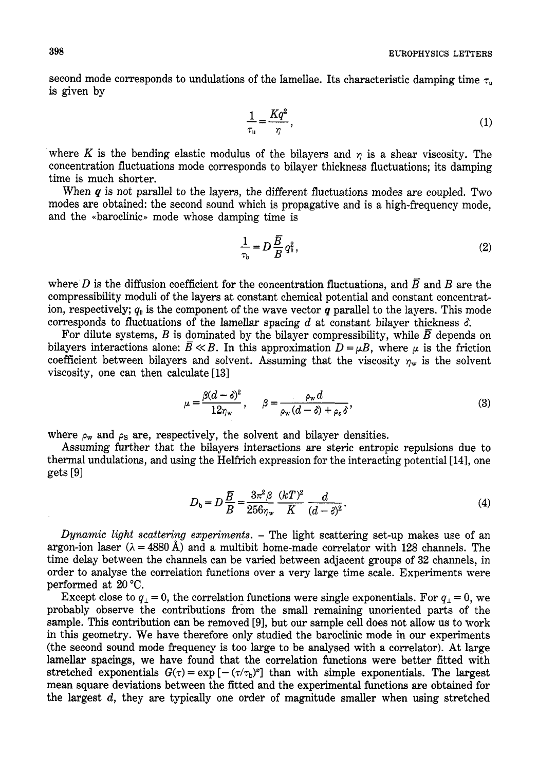second mode corresponds to undulations of the lamellae. Its characteristic damping time  $\tau_u$ is given by

$$
\frac{1}{\tau_u} = \frac{Kq^2}{\eta},\tag{1}
$$

where K is the bending elastic modulus of the bilayers and  $\eta$  is a shear viscosity. The concentration fluctuations mode corresponds to bilayer thickness fluctuations; its damping time is much shorter.

When  $q$  is not parallel to the layers, the different fluctuations modes are coupled. Two modes are obtained: the second sound which is propagative and is a high-frequency mode, and the «baroclinic» mode whose damping time is

$$
\frac{1}{\tau_b} = D \frac{\overline{B}}{B} q_{\parallel}^2, \qquad (2)
$$

where D is the diffusion coefficient for the concentration fluctuations, and  $\overline{B}$  and B are the compressibility moduli of the layers at constant chemical potential and constant concentration, respectively;  $q_{\parallel}$  is the component of the wave vector *q* parallel to the layers. This mode corresponds to fluctuations of the lamellar spacing  $d$  at constant bilayer thickness  $\delta$ .

For dilute systems, *B* is dominated by the bilayer compressibility, while  $\overline{B}$  depends on bilayers interactions alone:  $\bar{B} \ll B$ . In this approximation  $D = \mu B$ , where  $\mu$  is the friction coefficient between bilayers and solvent. Assuming that the viscosity  $\eta_w$  is the solvent viscosity, one can then calculate **[13]** 

$$
\mu = \frac{\beta(d-\delta)^2}{12\gamma_w}, \qquad \beta = \frac{\rho_w d}{\rho_w(d-\delta) + \rho_s \delta},\tag{3}
$$

where  $\rho_w$  and  $\rho_s$  are, respectively, the solvent and bilayer densities.

Assuming further that the bilayers interactions are steric entropic repulsions due to thermal undulations, and using the Helfrich expression for the interacting potential **[14],** one  $gets [9]$ 

$$
D_{\rm b} = D\frac{\overline{B}}{B} = \frac{3\pi^2 \beta}{256\gamma_{\rm w}} \frac{(kT)^2}{K} \frac{d}{(d-\delta)^2}.
$$
 (4)

*Dynamic light scattering experiments.* - The light scattering set-up makes use of an argon-ion laser ( $\lambda = 4880 \text{ Å}$ ) and a multibit home-made correlator with 128 channels. The time delay between the channels can be varied between adjacent groups of **32** channels, in order to analyse the correlation functions over a very large time scale. Experiments were performed at **20 "C.** 

Except close to  $q_{\perp} = 0$ , the correlation functions were single exponentials. For  $q_{\perp} = 0$ , we probably observe the contributions from the small remaining unoriented parts of the sample. This contribution can be removed **[9],** but our sample cell does not allow us to **work**  in this geometry. We have therefore only studied the baroclinic mode in our experiments (the second sound mode frequency is too large to be analysed with a correlator). At large lamellar spacings, we have found that the correlation functions were better fitted with stretched exponentials  $G(\tau) = \exp[-(\tau/\tau_b)^2]$  than with simple exponentials. The largest mean square deviations between the fitted and the experimental functions are obtained for the largest *d,* they are typically one order of magnitude smaller when using stretched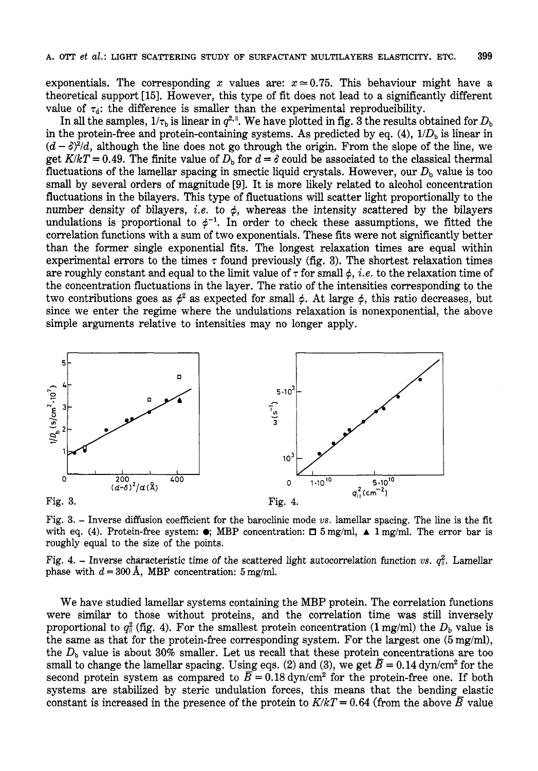exponentials. The corresponding *x* values are:  $x \approx 0.75$ . This behaviour might have a theoretical support [XI. However, this type of fit does not lead to a significantly different value of  $\tau_d$ : the difference is smaller than the experimental reproducibility.

In all the samples,  $1/\tau_b$  is linear in  $q^{2,1}$ . We have plotted in fig. 3 the results obtained for  $D_b$ in the protein-free and protein-containing systems. As predicted by eq.  $(4)$ ,  $1/D<sub>b</sub>$  is linear in  $(d - \delta)^2/d$ , although the line does not go through the origin. From the slope of the line, we get  $K/kT = 0.49$ . The finite value of  $D_b$  for  $d = \delta$  could be associated to the classical thermal fluctuations of the lamellar spacing in smectic liquid crystals. However, our  $D<sub>b</sub>$  value is too small by several orders of magnitude **[9].** It is more likely related to alcohol concentration fluctuations in the bilayers. This type of fluctuations will scatter light proportionally to the number density of bilayers, *i.e.* to  $\phi$ , whereas the intensity scattered by the bilayers undulations is proportional to  $\phi^{-1}$ . In order to check these assumptions, we fitted the correlation functions with a sum of two exponentials. These fits were not significantly better than the former single exponential fits. The longest relaxation times are equal within experimental errors to the times  $\tau$  found previously (fig. 3). The shortest relaxation times are roughly constant and equal to the limit value of  $\tau$  for small  $\phi$ , *i.e.* to the relaxation time of the concentration fluctuations in the layer. The ratio of the intensities corresponding to the two contributions goes as  $\phi^2$  as expected for small  $\phi$ . At large  $\phi$ , this ratio decreases, but since we enter the regime where the undulations relaxation is nonexponential, the above simple arguments relative to intensities may no longer apply.



Fig. **3.** - Inverse diffusion coefficient for the baroclinic mode *vs.* lamellar spacing. The line is the fit with eq. **(4).** Protein-free system: *0;* MBP concentration: **5** mg/ml, **A** 1 mg/ml. The error bar is roughly equal to the size of the points.

Fig. 4. – Inverse characteristic time of the scattered light autocorrelation function *vs.*  $q_1^2$ . Lamellar phase with  $d = 300$  Å, MBP concentration:  $5 \text{ mg/ml}$ .

We have studied lamellar systems containing the MBP protein. The correlation functions were similar to those without proteins, and the correlation time was still inversely proportional to  $q_{\parallel}^2$  (fig. 4). For the smallest protein concentration (1 mg/ml) the  $D_b$  value is the same as that for the protein-free corresponding system. For the largest one *(5* mg/ml), the  $D<sub>b</sub>$  value is about  $30\%$  smaller. Let us recall that these protein concentrations are too small to change the lamellar spacing. Using eqs. (2) and (3), we get  $\overline{B} = 0.14$  dyn/cm<sup>2</sup> for the second protein system as compared to  $\overline{B} = 0.18 \text{ dyn/cm}^2$  for the protein-free one. If both systems are stabilized by steric undulation forces, this means that the bending elastic constant is increased in the presence of the protein to  $K/kT = 0.64$  (from the above  $\overline{B}$  value